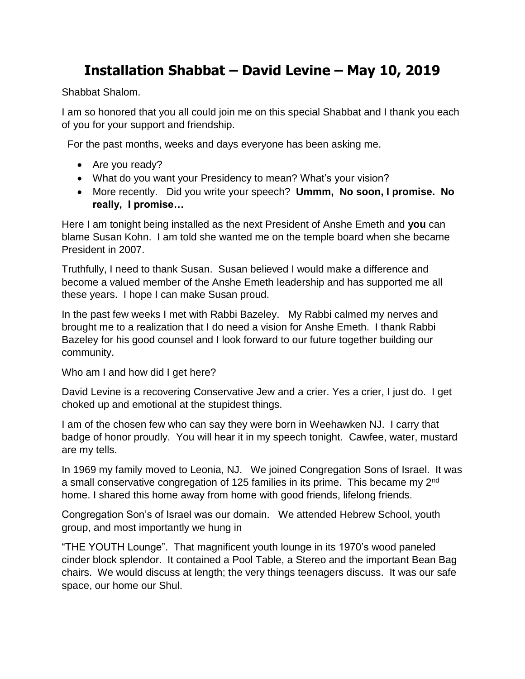# **Installation Shabbat – David Levine – May 10, 2019**

Shabbat Shalom.

I am so honored that you all could join me on this special Shabbat and I thank you each of you for your support and friendship.

For the past months, weeks and days everyone has been asking me.

- Are you ready?
- What do you want your Presidency to mean? What's your vision?
- More recently. Did you write your speech? **Ummm, No soon, I promise. No really, I promise…**

Here I am tonight being installed as the next President of Anshe Emeth and **you** can blame Susan Kohn. I am told she wanted me on the temple board when she became President in 2007.

Truthfully, I need to thank Susan. Susan believed I would make a difference and become a valued member of the Anshe Emeth leadership and has supported me all these years. I hope I can make Susan proud.

In the past few weeks I met with Rabbi Bazeley. My Rabbi calmed my nerves and brought me to a realization that I do need a vision for Anshe Emeth. I thank Rabbi Bazeley for his good counsel and I look forward to our future together building our community.

Who am I and how did I get here?

David Levine is a recovering Conservative Jew and a crier. Yes a crier, I just do. I get choked up and emotional at the stupidest things.

I am of the chosen few who can say they were born in Weehawken NJ. I carry that badge of honor proudly. You will hear it in my speech tonight. Cawfee, water, mustard are my tells.

In 1969 my family moved to Leonia, NJ. We joined Congregation Sons of Israel. It was a small conservative congregation of 125 families in its prime. This became my 2<sup>nd</sup> home. I shared this home away from home with good friends, lifelong friends.

Congregation Son's of Israel was our domain. We attended Hebrew School, youth group, and most importantly we hung in

"THE YOUTH Lounge". That magnificent youth lounge in its 1970's wood paneled cinder block splendor. It contained a Pool Table, a Stereo and the important Bean Bag chairs. We would discuss at length; the very things teenagers discuss. It was our safe space, our home our Shul.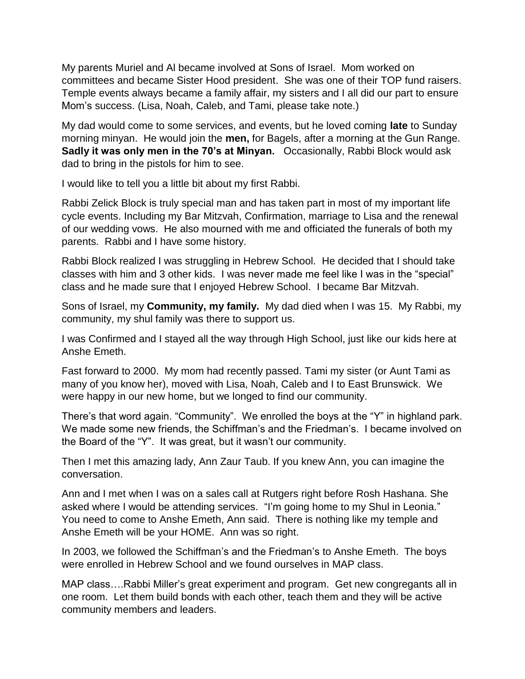My parents Muriel and Al became involved at Sons of Israel. Mom worked on committees and became Sister Hood president. She was one of their TOP fund raisers. Temple events always became a family affair, my sisters and I all did our part to ensure Mom's success. (Lisa, Noah, Caleb, and Tami, please take note.)

My dad would come to some services, and events, but he loved coming **late** to Sunday morning minyan. He would join the **men,** for Bagels, after a morning at the Gun Range. **Sadly it was only men in the 70's at Minyan.** Occasionally, Rabbi Block would ask dad to bring in the pistols for him to see.

I would like to tell you a little bit about my first Rabbi.

Rabbi Zelick Block is truly special man and has taken part in most of my important life cycle events. Including my Bar Mitzvah, Confirmation, marriage to Lisa and the renewal of our wedding vows. He also mourned with me and officiated the funerals of both my parents. Rabbi and I have some history.

Rabbi Block realized I was struggling in Hebrew School. He decided that I should take classes with him and 3 other kids. I was never made me feel like I was in the "special" class and he made sure that I enjoyed Hebrew School. I became Bar Mitzvah.

Sons of Israel, my **Community, my family.** My dad died when I was 15. My Rabbi, my community, my shul family was there to support us.

I was Confirmed and I stayed all the way through High School, just like our kids here at Anshe Emeth.

Fast forward to 2000. My mom had recently passed. Tami my sister (or Aunt Tami as many of you know her), moved with Lisa, Noah, Caleb and I to East Brunswick. We were happy in our new home, but we longed to find our community.

There's that word again. "Community". We enrolled the boys at the "Y" in highland park. We made some new friends, the Schiffman's and the Friedman's. I became involved on the Board of the "Y". It was great, but it wasn't our community.

Then I met this amazing lady, Ann Zaur Taub. If you knew Ann, you can imagine the conversation.

Ann and I met when I was on a sales call at Rutgers right before Rosh Hashana. She asked where I would be attending services. "I'm going home to my Shul in Leonia." You need to come to Anshe Emeth, Ann said. There is nothing like my temple and Anshe Emeth will be your HOME. Ann was so right.

In 2003, we followed the Schiffman's and the Friedman's to Anshe Emeth. The boys were enrolled in Hebrew School and we found ourselves in MAP class.

MAP class….Rabbi Miller's great experiment and program. Get new congregants all in one room. Let them build bonds with each other, teach them and they will be active community members and leaders.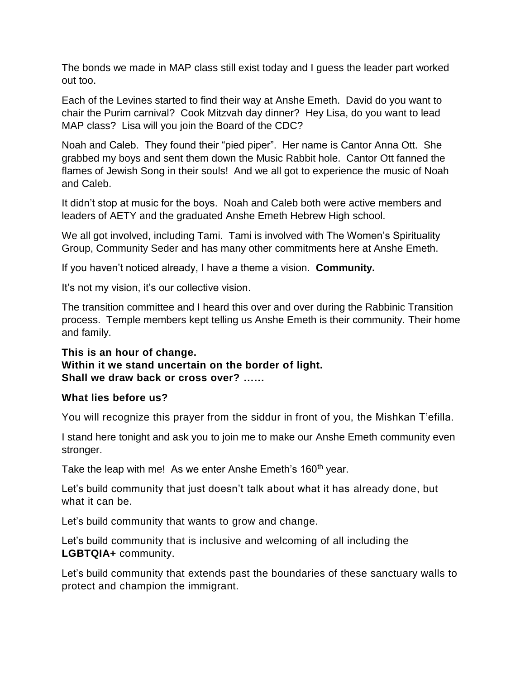The bonds we made in MAP class still exist today and I guess the leader part worked out too.

Each of the Levines started to find their way at Anshe Emeth. David do you want to chair the Purim carnival? Cook Mitzvah day dinner? Hey Lisa, do you want to lead MAP class? Lisa will you join the Board of the CDC?

Noah and Caleb. They found their "pied piper". Her name is Cantor Anna Ott. She grabbed my boys and sent them down the Music Rabbit hole. Cantor Ott fanned the flames of Jewish Song in their souls! And we all got to experience the music of Noah and Caleb.

It didn't stop at music for the boys. Noah and Caleb both were active members and leaders of AETY and the graduated Anshe Emeth Hebrew High school.

We all got involved, including Tami. Tami is involved with The Women's Spirituality Group, Community Seder and has many other commitments here at Anshe Emeth.

If you haven't noticed already, I have a theme a vision. **Community.**

It's not my vision, it's our collective vision.

The transition committee and I heard this over and over during the Rabbinic Transition process. Temple members kept telling us Anshe Emeth is their community. Their home and family.

**This is an hour of change. Within it we stand uncertain on the border of light. Shall we draw back or cross over? ……**

#### **What lies before us?**

You will recognize this prayer from the siddur in front of you, the Mishkan T'efilla.

I stand here tonight and ask you to join me to make our Anshe Emeth community even stronger.

Take the leap with me! As we enter Anshe Emeth's 160<sup>th</sup> year.

Let's build community that just doesn't talk about what it has already done, but what it can be.

Let's build community that wants to grow and change.

Let's build community that is inclusive and welcoming of all including the **LGBTQIA+** community.

Let's build community that extends past the boundaries of these sanctuary walls to protect and champion the immigrant.